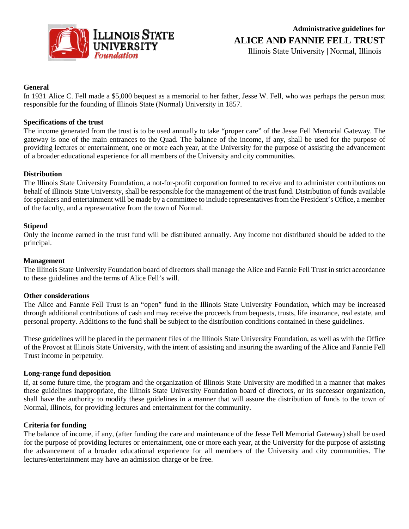

# **General**

In 1931 Alice C. Fell made a \$5,000 bequest as a memorial to her father, Jesse W. Fell, who was perhaps the person most responsible for the founding of Illinois State (Normal) University in 1857.

# **Specifications of the trust**

The income generated from the trust is to be used annually to take "proper care" of the Jesse Fell Memorial Gateway. The gateway is one of the main entrances to the Quad. The balance of the income, if any, shall be used for the purpose of providing lectures or entertainment, one or more each year, at the University for the purpose of assisting the advancement of a broader educational experience for all members of the University and city communities.

# **Distribution**

The Illinois State University Foundation, a not-for-profit corporation formed to receive and to administer contributions on behalf of Illinois State University, shall be responsible for the management of the trust fund. Distribution of funds available for speakers and entertainment will be made by a committee to include representatives from the President's Office, a member of the faculty, and a representative from the town of Normal.

#### **Stipend**

Only the income earned in the trust fund will be distributed annually. Any income not distributed should be added to the principal.

#### **Management**

The Illinois State University Foundation board of directors shall manage the Alice and Fannie Fell Trust in strict accordance to these guidelines and the terms of Alice Fell's will.

#### **Other considerations**

The Alice and Fannie Fell Trust is an "open" fund in the Illinois State University Foundation, which may be increased through additional contributions of cash and may receive the proceeds from bequests, trusts, life insurance, real estate, and personal property. Additions to the fund shall be subject to the distribution conditions contained in these guidelines.

These guidelines will be placed in the permanent files of the Illinois State University Foundation, as well as with the Office of the Provost at Illinois State University, with the intent of assisting and insuring the awarding of the Alice and Fannie Fell Trust income in perpetuity.

#### **Long-range fund deposition**

If, at some future time, the program and the organization of Illinois State University are modified in a manner that makes these guidelines inappropriate, the Illinois State University Foundation board of directors, or its successor organization, shall have the authority to modify these guidelines in a manner that will assure the distribution of funds to the town of Normal, Illinois, for providing lectures and entertainment for the community.

#### **Criteria for funding**

The balance of income, if any, (after funding the care and maintenance of the Jesse Fell Memorial Gateway) shall be used for the purpose of providing lectures or entertainment, one or more each year, at the University for the purpose of assisting the advancement of a broader educational experience for all members of the University and city communities. The lectures/entertainment may have an admission charge or be free.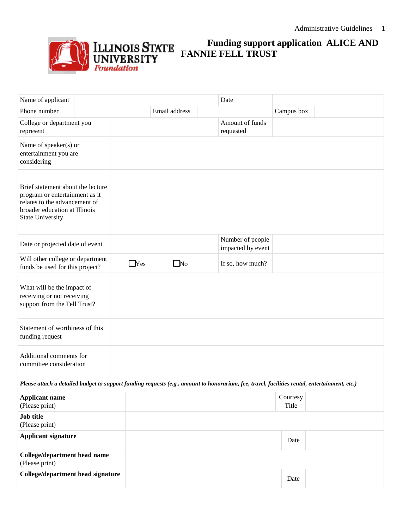

# **Funding support application ALICE AND FANNIE FELL TRUST**

| Name of applicant                                                                                                                                                |  |            |                   |  | Date                                  |                   |  |
|------------------------------------------------------------------------------------------------------------------------------------------------------------------|--|------------|-------------------|--|---------------------------------------|-------------------|--|
| Phone number                                                                                                                                                     |  |            | Email address     |  |                                       | Campus box        |  |
| College or department you<br>represent                                                                                                                           |  |            |                   |  | Amount of funds<br>requested          |                   |  |
| Name of speaker(s) or<br>entertainment you are<br>considering                                                                                                    |  |            |                   |  |                                       |                   |  |
| Brief statement about the lecture<br>program or entertainment as it<br>relates to the advancement of<br>broader education at Illinois<br><b>State University</b> |  |            |                   |  |                                       |                   |  |
| Date or projected date of event                                                                                                                                  |  |            |                   |  | Number of people<br>impacted by event |                   |  |
| Will other college or department<br>funds be used for this project?                                                                                              |  | $\Box$ Yes | $\blacksquare$ No |  | If so, how much?                      |                   |  |
| What will be the impact of<br>receiving or not receiving<br>support from the Fell Trust?                                                                         |  |            |                   |  |                                       |                   |  |
| Statement of worthiness of this<br>funding request                                                                                                               |  |            |                   |  |                                       |                   |  |
| Additional comments for<br>committee consideration                                                                                                               |  |            |                   |  |                                       |                   |  |
| Please attach a detailed budget to support funding requests (e.g., amount to honorarium, fee, travel, facilities rental, entertainment, etc.)                    |  |            |                   |  |                                       |                   |  |
| <b>Applicant name</b><br>(Please print)                                                                                                                          |  |            |                   |  |                                       | Courtesy<br>Title |  |
| <b>Job title</b><br>(Please print)                                                                                                                               |  |            |                   |  |                                       |                   |  |
| <b>Applicant signature</b>                                                                                                                                       |  |            |                   |  |                                       | Date              |  |
| College/department head name<br>(Please print)                                                                                                                   |  |            |                   |  |                                       |                   |  |
| College/department head signature                                                                                                                                |  |            |                   |  |                                       | Date              |  |